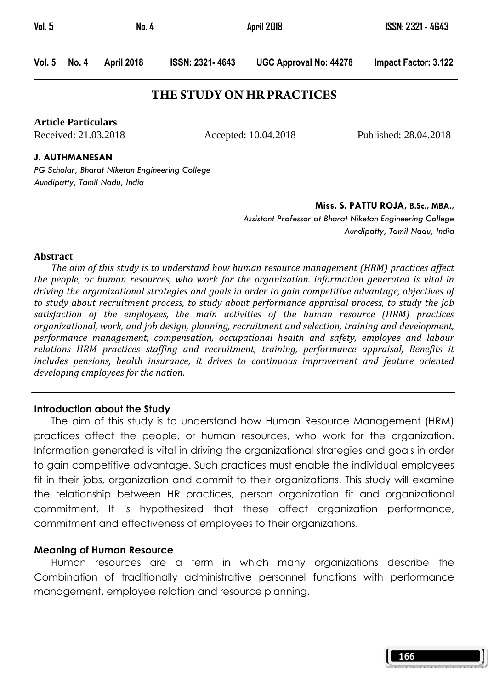Vol. 5 No. 4 April 2018 ISSN: 2321 - 4643

Vol. 5 No. 4 April 2018 ISSN: 2321- 4643 UGC Approval No: 44278 Impact Factor: 3.122

## **THE STUDY ON HR PRACTICES**

**Article Particulars**

Received: 21.03.2018 Accepted: 10.04.2018 Published: 28.04.2018

J. AUTHMANESAN

PG Scholar, Bharat Niketan Engineering College Aundipatty, Tamil Nadu, India

Miss. S. PATTU ROJA, B.Sc., MBA.,

Assistant Professor at Bharat Niketan Engineering College Aundipatty, Tamil Nadu, India

#### Abstract

 The aim of this study is to understand how human resource management (HRM) practices affect the people, or human resources, who work for the organization. information generated is vital in driving the organizational strategies and goals in order to gain competitive advantage, objectives of to study about recruitment process, to study about performance appraisal process, to study the job satisfaction of the employees, the main activities of the human resource (HRM) practices organizational, work, and job design, planning, recruitment and selection, training and development, performance management, compensation, occupational health and safety, employee and labour relations HRM practices staffing and recruitment, training, performance appraisal, Benefits it includes pensions, health insurance, it drives to continuous improvement and feature oriented developing employees for the nation.

#### Introduction about the Study

The aim of this study is to understand how Human Resource Management (HRM) practices affect the people, or human resources, who work for the organization. Information generated is vital in driving the organizational strategies and goals in order to gain competitive advantage. Such practices must enable the individual employees fit in their jobs, organization and commit to their organizations. This study will examine the relationship between HR practices, person organization fit and organizational commitment. It is hypothesized that these affect organization performance, commitment and effectiveness of employees to their organizations.

#### Meaning of Human Resource

 Human resources are a term in which many organizations describe the Combination of traditionally administrative personnel functions with performance management, employee relation and resource planning.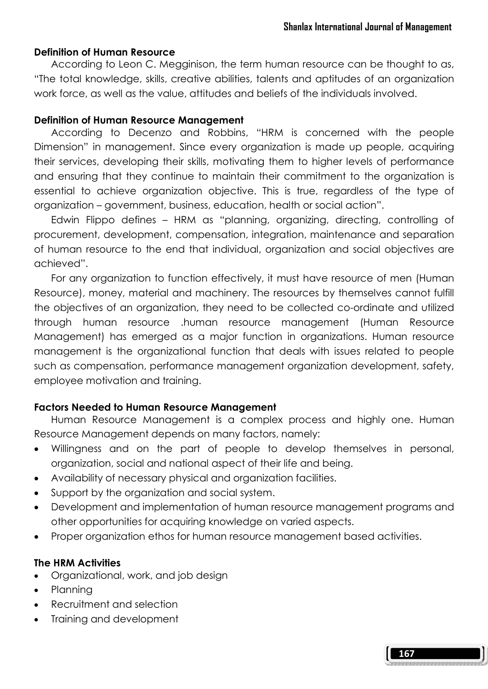#### Definition of Human Resource

 According to Leon C. Megginison, the term human resource can be thought to as, "The total knowledge, skills, creative abilities, talents and aptitudes of an organization work force, as well as the value, attitudes and beliefs of the individuals involved.

#### Definition of Human Resource Management

 According to Decenzo and Robbins, "HRM is concerned with the people Dimension" in management. Since every organization is made up people, acquiring their services, developing their skills, motivating them to higher levels of performance and ensuring that they continue to maintain their commitment to the organization is essential to achieve organization objective. This is true, regardless of the type of organization – government, business, education, health or social action".

 Edwin Flippo defines – HRM as "planning, organizing, directing, controlling of procurement, development, compensation, integration, maintenance and separation of human resource to the end that individual, organization and social objectives are achieved".

 For any organization to function effectively, it must have resource of men (Human Resource), money, material and machinery. The resources by themselves cannot fulfill the objectives of an organization, they need to be collected co-ordinate and utilized through human resource .human resource management (Human Resource Management) has emerged as a major function in organizations. Human resource management is the organizational function that deals with issues related to people such as compensation, performance management organization development, safety, employee motivation and training.

## Factors Needed to Human Resource Management

 Human Resource Management is a complex process and highly one. Human Resource Management depends on many factors, namely:

- Willingness and on the part of people to develop themselves in personal, organization, social and national aspect of their life and being.
- Availability of necessary physical and organization facilities.
- Support by the organization and social system.
- Development and implementation of human resource management programs and other opportunities for acquiring knowledge on varied aspects.
- Proper organization ethos for human resource management based activities.

#### The HRM Activities

- Organizational, work, and job design
- Planning
- Recruitment and selection
- Training and development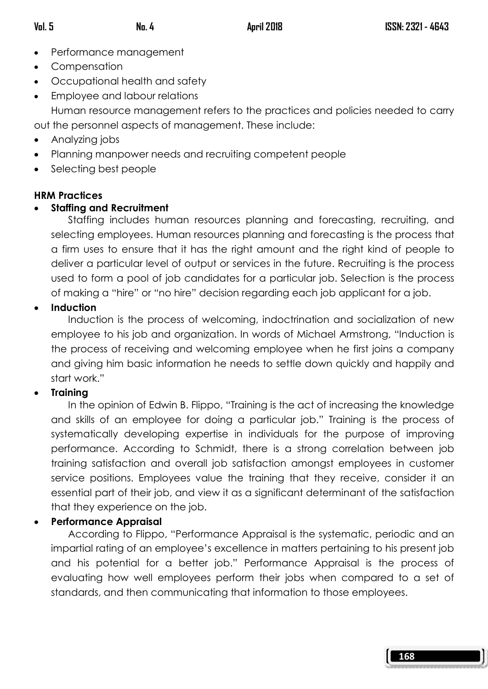- Performance management
- Compensation
- Occupational health and safety
- Employee and labour relations

 Human resource management refers to the practices and policies needed to carry out the personnel aspects of management. These include:

- Analyzing jobs
- Planning manpower needs and recruiting competent people
- Selecting best people

# HRM Practices

# • Staffing and Recruitment

 Staffing includes human resources planning and forecasting, recruiting, and selecting employees. Human resources planning and forecasting is the process that a firm uses to ensure that it has the right amount and the right kind of people to deliver a particular level of output or services in the future. Recruiting is the process used to form a pool of job candidates for a particular job. Selection is the process of making a "hire" or "no hire" decision regarding each job applicant for a job.

# • Induction

 Induction is the process of welcoming, indoctrination and socialization of new employee to his job and organization. In words of Michael Armstrong, "Induction is the process of receiving and welcoming employee when he first joins a company and giving him basic information he needs to settle down quickly and happily and start work."

# **Training**

 In the opinion of Edwin B. Flippo, "Training is the act of increasing the knowledge and skills of an employee for doing a particular job." Training is the process of systematically developing expertise in individuals for the purpose of improving performance. According to Schmidt, there is a strong correlation between job training satisfaction and overall job satisfaction amongst employees in customer service positions. Employees value the training that they receive, consider it an essential part of their job, and view it as a significant determinant of the satisfaction that they experience on the job.

# • Performance Appraisal

 According to Flippo, "Performance Appraisal is the systematic, periodic and an impartial rating of an employee's excellence in matters pertaining to his present job and his potential for a better job." Performance Appraisal is the process of evaluating how well employees perform their jobs when compared to a set of standards, and then communicating that information to those employees.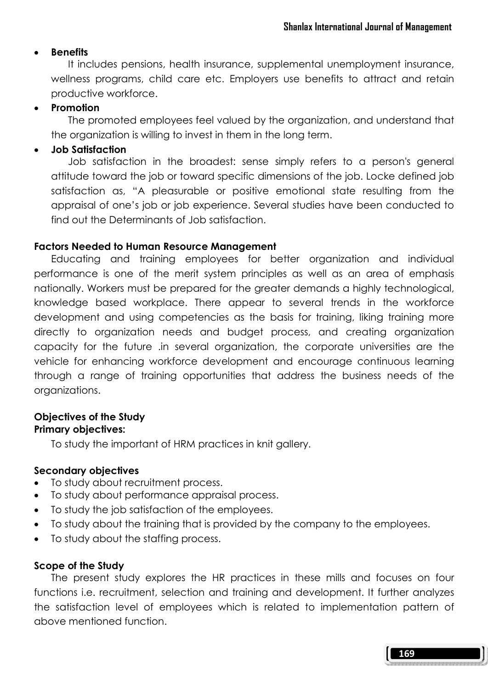#### **Benefits**

 It includes pensions, health insurance, supplemental unemployment insurance, wellness programs, child care etc. Employers use benefits to attract and retain productive workforce.

#### **Promotion**

 The promoted employees feel valued by the organization, and understand that the organization is willing to invest in them in the long term.

#### • Job Satisfaction

 Job satisfaction in the broadest: sense simply refers to a person's general attitude toward the job or toward specific dimensions of the job. Locke defined job satisfaction as, "A pleasurable or positive emotional state resulting from the appraisal of one's job or job experience. Several studies have been conducted to find out the Determinants of Job satisfaction.

#### Factors Needed to Human Resource Management

 Educating and training employees for better organization and individual performance is one of the merit system principles as well as an area of emphasis nationally. Workers must be prepared for the greater demands a highly technological, knowledge based workplace. There appear to several trends in the workforce development and using competencies as the basis for training, liking training more directly to organization needs and budget process, and creating organization capacity for the future .in several organization, the corporate universities are the vehicle for enhancing workforce development and encourage continuous learning through a range of training opportunities that address the business needs of the organizations.

#### Objectives of the Study Primary objectives:

To study the important of HRM practices in knit gallery.

## Secondary objectives

- To study about recruitment process.
- To study about performance appraisal process.
- To study the job satisfaction of the employees.
- To study about the training that is provided by the company to the employees.
- To study about the staffing process.

#### Scope of the Study

 The present study explores the HR practices in these mills and focuses on four functions i.e. recruitment, selection and training and development. It further analyzes the satisfaction level of employees which is related to implementation pattern of above mentioned function.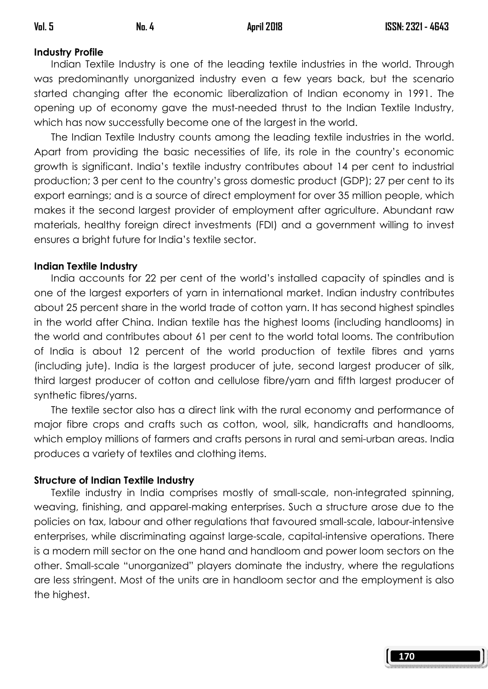# Industry Profile

Indian Textile Industry is one of the leading textile industries in the world. Through was predominantly unorganized industry even a few years back, but the scenario started changing after the economic liberalization of Indian economy in 1991. The opening up of economy gave the must-needed thrust to the Indian Textile Industry, which has now successfully become one of the largest in the world.

 The Indian Textile Industry counts among the leading textile industries in the world. Apart from providing the basic necessities of life, its role in the country's economic growth is significant. India's textile industry contributes about 14 per cent to industrial production; 3 per cent to the country's gross domestic product (GDP); 27 per cent to its export earnings; and is a source of direct employment for over 35 million people, which makes it the second largest provider of employment after agriculture. Abundant raw materials, healthy foreign direct investments (FDI) and a government willing to invest ensures a bright future for India's textile sector.

## Indian Textile Industry

 India accounts for 22 per cent of the world's installed capacity of spindles and is one of the largest exporters of yarn in international market. Indian industry contributes about 25 percent share in the world trade of cotton yarn. It has second highest spindles in the world after China. Indian textile has the highest looms (including handlooms) in the world and contributes about 61 per cent to the world total looms. The contribution of India is about 12 percent of the world production of textile fibres and yarns (including jute). India is the largest producer of jute, second largest producer of silk, third largest producer of cotton and cellulose fibre/yarn and fifth largest producer of synthetic fibres/yarns.

 The textile sector also has a direct link with the rural economy and performance of major fibre crops and crafts such as cotton, wool, silk, handicrafts and handlooms, which employ millions of farmers and crafts persons in rural and semi-urban areas. India produces a variety of textiles and clothing items.

## Structure of Indian Textile Industry

 Textile industry in India comprises mostly of small-scale, non-integrated spinning, weaving, finishing, and apparel-making enterprises. Such a structure arose due to the policies on tax, labour and other regulations that favoured small-scale, labour-intensive enterprises, while discriminating against large-scale, capital-intensive operations. There is a modern mill sector on the one hand and handloom and power loom sectors on the other. Small-scale "unorganized" players dominate the industry, where the regulations are less stringent. Most of the units are in handloom sector and the employment is also the highest.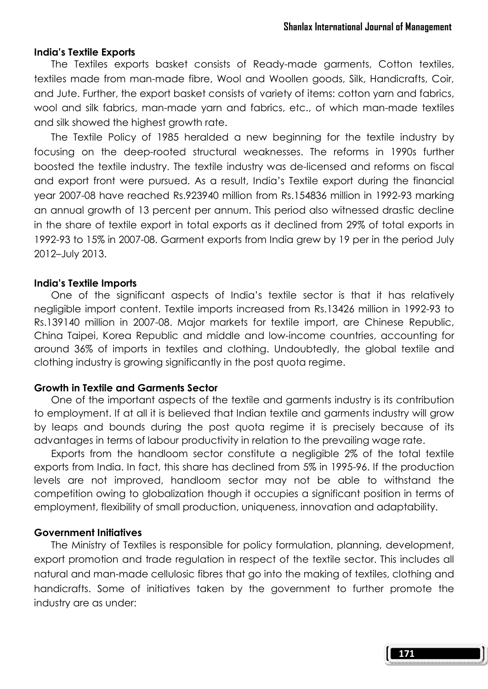#### India's Textile Exports

 The Textiles exports basket consists of Ready-made garments, Cotton textiles, textiles made from man-made fibre, Wool and Woollen goods, Silk, Handicrafts, Coir, and Jute. Further, the export basket consists of variety of items: cotton yarn and fabrics, wool and silk fabrics, man-made yarn and fabrics, etc., of which man-made textiles and silk showed the highest growth rate.

 The Textile Policy of 1985 heralded a new beginning for the textile industry by focusing on the deep-rooted structural weaknesses. The reforms in 1990s further boosted the textile industry. The textile industry was de-licensed and reforms on fiscal and export front were pursued. As a result, India's Textile export during the financial year 2007-08 have reached Rs.923940 million from Rs.154836 million in 1992-93 marking an annual growth of 13 percent per annum. This period also witnessed drastic decline in the share of textile export in total exports as it declined from 29% of total exports in 1992-93 to 15% in 2007-08. Garment exports from India grew by 19 per in the period July 2012–July 2013.

#### India's Textile Imports

 One of the significant aspects of India's textile sector is that it has relatively negligible import content. Textile imports increased from Rs.13426 million in 1992-93 to Rs.139140 million in 2007-08. Major markets for textile import, are Chinese Republic, China Taipei, Korea Republic and middle and low-income countries, accounting for around 36% of imports in textiles and clothing. Undoubtedly, the global textile and clothing industry is growing significantly in the post quota regime.

#### Growth in Textile and Garments Sector

 One of the important aspects of the textile and garments industry is its contribution to employment. If at all it is believed that Indian textile and garments industry will grow by leaps and bounds during the post quota regime it is precisely because of its advantages in terms of labour productivity in relation to the prevailing wage rate.

 Exports from the handloom sector constitute a negligible 2% of the total textile exports from India. In fact, this share has declined from 5% in 1995-96. If the production levels are not improved, handloom sector may not be able to withstand the competition owing to globalization though it occupies a significant position in terms of employment, flexibility of small production, uniqueness, innovation and adaptability.

#### Government Initiatives

 The Ministry of Textiles is responsible for policy formulation, planning, development, export promotion and trade regulation in respect of the textile sector. This includes all natural and man-made cellulosic fibres that go into the making of textiles, clothing and handicrafts. Some of initiatives taken by the government to further promote the industry are as under: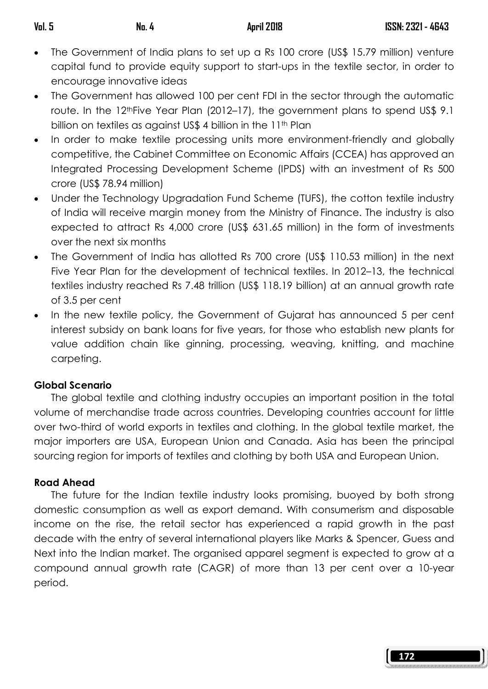- The Government of India plans to set up a Rs 100 crore (US\$ 15.79 million) venture capital fund to provide equity support to start-ups in the textile sector, in order to encourage innovative ideas
- The Government has allowed 100 per cent FDI in the sector through the automatic route. In the 12<sup>th</sup>Five Year Plan (2012–17), the government plans to spend US\$ 9.1 billion on textiles as against US\$ 4 billion in the 11<sup>th</sup> Plan
- In order to make textile processing units more environment-friendly and globally competitive, the Cabinet Committee on Economic Affairs (CCEA) has approved an Integrated Processing Development Scheme (IPDS) with an investment of Rs 500 crore (US\$ 78.94 million)
- Under the Technology Upgradation Fund Scheme (TUFS), the cotton textile industry of India will receive margin money from the Ministry of Finance. The industry is also expected to attract Rs 4,000 crore (US\$ 631.65 million) in the form of investments over the next six months
- The Government of India has allotted Rs 700 crore (US\$ 110.53 million) in the next Five Year Plan for the development of technical textiles. In 2012–13, the technical textiles industry reached Rs 7.48 trillion (US\$ 118.19 billion) at an annual growth rate of 3.5 per cent
- In the new textile policy, the Government of Gujarat has announced 5 per cent interest subsidy on bank loans for five years, for those who establish new plants for value addition chain like ginning, processing, weaving, knitting, and machine carpeting.

# Global Scenario

 The global textile and clothing industry occupies an important position in the total volume of merchandise trade across countries. Developing countries account for little over two-third of world exports in textiles and clothing. In the global textile market, the major importers are USA, European Union and Canada. Asia has been the principal sourcing region for imports of textiles and clothing by both USA and European Union.

## Road Ahead

 The future for the Indian textile industry looks promising, buoyed by both strong domestic consumption as well as export demand. With consumerism and disposable income on the rise, the retail sector has experienced a rapid growth in the past decade with the entry of several international players like Marks & Spencer, Guess and Next into the Indian market. The organised apparel segment is expected to grow at a compound annual growth rate (CAGR) of more than 13 per cent over a 10-year period.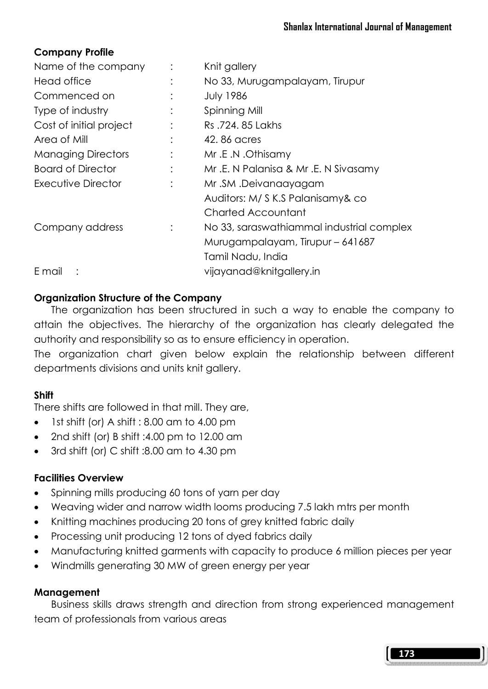# Company Profile

| Name of the company       |                | Knit gallery                              |
|---------------------------|----------------|-------------------------------------------|
| Head office               |                | No 33, Murugampalayam, Tirupur            |
| Commenced on              |                | <b>July 1986</b>                          |
| Type of industry          |                | Spinning Mill                             |
| Cost of initial project   |                | Rs.724, 85 Lakhs                          |
| Area of Mill              |                | 42, 86 acres                              |
| <b>Managing Directors</b> |                | Mr.E.N.Othisamy                           |
| <b>Board of Director</b>  | $\ddot{\cdot}$ | Mr.E. N Palanisa & Mr.E. N Sivasamy       |
| Executive Director        | $\ddot{\cdot}$ | Mr.SM.Deivanaayagam                       |
|                           |                | Auditors: M/ S K.S Palanisamy& co         |
|                           |                | Charted Accountant                        |
| Company address           |                | No 33, saraswathiammal industrial complex |
|                           |                | Murugampalayam, Tirupur - 641687          |
|                           |                | Tamil Nadu, India                         |
| E mail                    |                | vijayanad@knitgallery.in                  |
|                           |                |                                           |

# Organization Structure of the Company

 The organization has been structured in such a way to enable the company to attain the objectives. The hierarchy of the organization has clearly delegated the authority and responsibility so as to ensure efficiency in operation.

The organization chart given below explain the relationship between different departments divisions and units knit gallery.

## Shift

There shifts are followed in that mill. They are,

- 1st shift (or) A shift : 8.00 am to 4.00 pm
- 2nd shift (or) B shift :4.00 pm to 12.00 am
- 3rd shift (or) C shift :8.00 am to 4.30 pm

# Facilities Overview

- Spinning mills producing 60 tons of yarn per day
- Weaving wider and narrow width looms producing 7.5 lakh mtrs per month
- Knitting machines producing 20 tons of grey knitted fabric daily
- Processing unit producing 12 tons of dyed fabrics daily
- Manufacturing knitted garments with capacity to produce 6 million pieces per year
- Windmills generating 30 MW of green energy per year

## Management

 Business skills draws strength and direction from strong experienced management team of professionals from various areas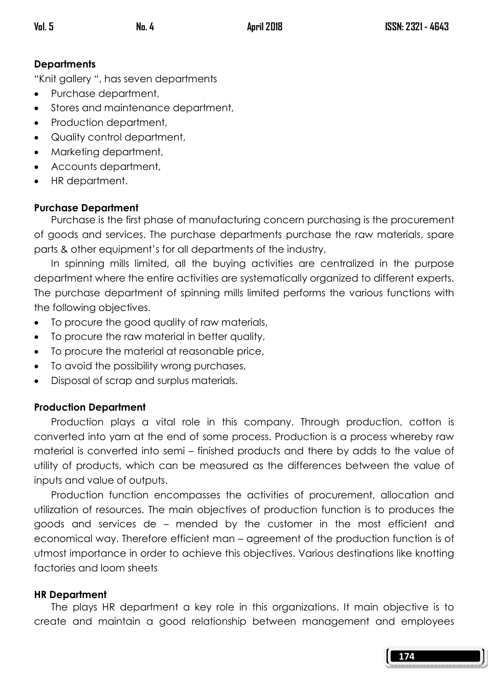## **Departments**

"Knit gallery ", has seven departments

- Purchase department,
- Stores and maintenance department,
- Production department,
- Quality control department,
- Marketing department,
- Accounts department,
- HR department.

#### Purchase Department

 Purchase is the first phase of manufacturing concern purchasing is the procurement of goods and services. The purchase departments purchase the raw materials, spare parts & other equipment's for all departments of the industry.

 In spinning mills limited, all the buying activities are centralized in the purpose department where the entire activities are systematically organized to different experts. The purchase department of spinning mills limited performs the various functions with the following objectives.

- To procure the good quality of raw materials,
- To procure the raw material in better quality,
- To procure the material at reasonable price,
- To avoid the possibility wrong purchases,
- Disposal of scrap and surplus materials.

#### Production Department

 Production plays a vital role in this company. Through production, cotton is converted into yarn at the end of some process. Production is a process whereby raw material is converted into semi – finished products and there by adds to the value of utility of products, which can be measured as the differences between the value of inputs and value of outputs.

 Production function encompasses the activities of procurement, allocation and utilization of resources. The main objectives of production function is to produces the goods and services de – mended by the customer in the most efficient and economical way. Therefore efficient man – agreement of the production function is of utmost importance in order to achieve this objectives. Various destinations like knotting factories and loom sheets

#### HR Department

 The plays HR department a key role in this organizations. It main objective is to create and maintain a good relationship between management and employees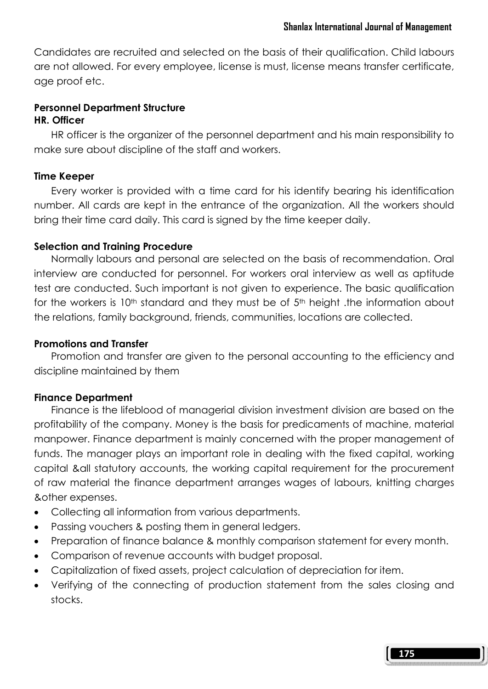Candidates are recruited and selected on the basis of their qualification. Child labours are not allowed. For every employee, license is must, license means transfer certificate, age proof etc.

# Personnel Department Structure

# HR. Officer

 HR officer is the organizer of the personnel department and his main responsibility to make sure about discipline of the staff and workers.

#### Time Keeper

 Every worker is provided with a time card for his identify bearing his identification number. All cards are kept in the entrance of the organization. All the workers should bring their time card daily. This card is signed by the time keeper daily.

#### Selection and Training Procedure

 Normally labours and personal are selected on the basis of recommendation. Oral interview are conducted for personnel. For workers oral interview as well as aptitude test are conducted. Such important is not given to experience. The basic qualification for the workers is 10<sup>th</sup> standard and they must be of 5<sup>th</sup> height .the information about the relations, family background, friends, communities, locations are collected.

#### Promotions and Transfer

 Promotion and transfer are given to the personal accounting to the efficiency and discipline maintained by them

## Finance Department

 Finance is the lifeblood of managerial division investment division are based on the profitability of the company. Money is the basis for predicaments of machine, material manpower. Finance department is mainly concerned with the proper management of funds. The manager plays an important role in dealing with the fixed capital, working capital &all statutory accounts, the working capital requirement for the procurement of raw material the finance department arranges wages of labours, knitting charges &other expenses.

- Collecting all information from various departments.
- Passing vouchers & posting them in general ledgers.
- Preparation of finance balance & monthly comparison statement for every month.
- Comparison of revenue accounts with budget proposal.
- Capitalization of fixed assets, project calculation of depreciation for item.
- Verifying of the connecting of production statement from the sales closing and stocks.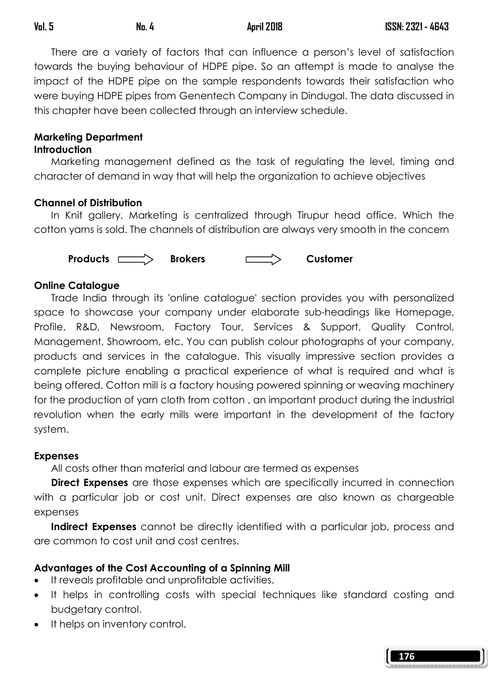There are a variety of factors that can influence a person's level of satisfaction towards the buying behaviour of HDPE pipe. So an attempt is made to analyse the impact of the HDPE pipe on the sample respondents towards their satisfaction who were buying HDPE pipes from Genentech Company in Dindugal. The data discussed in this chapter have been collected through an interview schedule.

#### Marketing Department **Introduction**

 Marketing management defined as the task of regulating the level, timing and character of demand in way that will help the organization to achieve objectives

## Channel of Distribution

 In Knit gallery. Marketing is centralized through Tirupur head office. Which the cotton yarns is sold. The channels of distribution are always very smooth in the concern



# Online Catalogue

 Trade India through its 'online catalogue' section provides you with personalized space to showcase your company under elaborate sub-headings like Homepage, Profile, R&D, Newsroom, Factory Tour, Services & Support, Quality Control, Management, Showroom, etc. You can publish colour photographs of your company, products and services in the catalogue. This visually impressive section provides a complete picture enabling a practical experience of what is required and what is being offered. Cotton mill is a factory housing powered spinning or weaving machinery for the production of yarn cloth from cotton , an important product during the industrial revolution when the early mills were important in the development of the factory system.

## **Expenses**

All costs other than material and labour are termed as expenses

**Direct Expenses** are those expenses which are specifically incurred in connection with a particular job or cost unit. Direct expenses are also known as chargeable expenses

Indirect Expenses cannot be directly identified with a particular job, process and are common to cost unit and cost centres.

# Advantages of the Cost Accounting of a Spinning Mill

- It reveals profitable and unprofitable activities.
- It helps in controlling costs with special techniques like standard costing and budgetary control.
- It helps on inventory control.

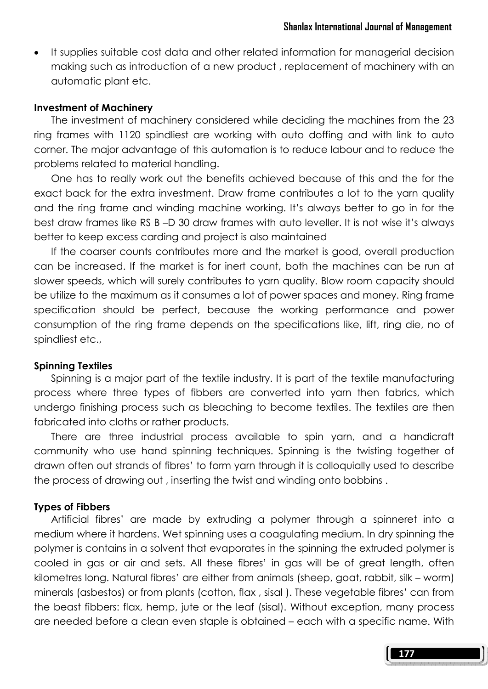• It supplies suitable cost data and other related information for managerial decision making such as introduction of a new product , replacement of machinery with an automatic plant etc.

#### Investment of Machinery

 The investment of machinery considered while deciding the machines from the 23 ring frames with 1120 spindliest are working with auto doffing and with link to auto corner. The major advantage of this automation is to reduce labour and to reduce the problems related to material handling.

 One has to really work out the benefits achieved because of this and the for the exact back for the extra investment. Draw frame contributes a lot to the yarn quality and the ring frame and winding machine working. It's always better to go in for the best draw frames like RS B –D 30 draw frames with auto leveller. It is not wise it's always better to keep excess carding and project is also maintained

 If the coarser counts contributes more and the market is good, overall production can be increased. If the market is for inert count, both the machines can be run at slower speeds, which will surely contributes to yarn quality. Blow room capacity should be utilize to the maximum as it consumes a lot of power spaces and money. Ring frame specification should be perfect, because the working performance and power consumption of the ring frame depends on the specifications like, lift, ring die, no of spindliest etc.,

#### Spinning Textiles

 Spinning is a major part of the textile industry. It is part of the textile manufacturing process where three types of fibbers are converted into yarn then fabrics, which undergo finishing process such as bleaching to become textiles. The textiles are then fabricated into cloths or rather products.

 There are three industrial process available to spin yarn, and a handicraft community who use hand spinning techniques. Spinning is the twisting together of drawn often out strands of fibres' to form yarn through it is colloquially used to describe the process of drawing out , inserting the twist and winding onto bobbins .

#### Types of Fibbers

 Artificial fibres' are made by extruding a polymer through a spinneret into a medium where it hardens. Wet spinning uses a coagulating medium. In dry spinning the polymer is contains in a solvent that evaporates in the spinning the extruded polymer is cooled in gas or air and sets. All these fibres' in gas will be of great length, often kilometres long. Natural fibres' are either from animals (sheep, goat, rabbit, silk – worm) minerals (asbestos) or from plants (cotton, flax , sisal ). These vegetable fibres' can from the beast fibbers: flax, hemp, jute or the leaf (sisal). Without exception, many process are needed before a clean even staple is obtained – each with a specific name. With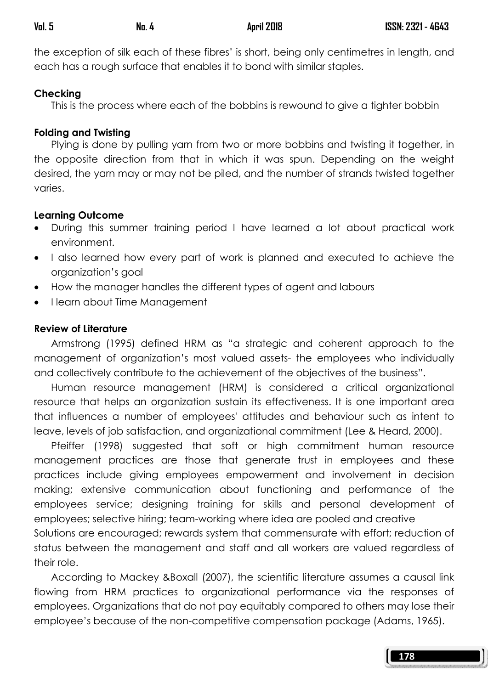the exception of silk each of these fibres' is short, being only centimetres in length, and each has a rough surface that enables it to bond with similar staples.

#### Checking

This is the process where each of the bobbins is rewound to give a tighter bobbin

#### Folding and Twisting

 Plying is done by pulling yarn from two or more bobbins and twisting it together, in the opposite direction from that in which it was spun. Depending on the weight desired, the yarn may or may not be piled, and the number of strands twisted together varies.

#### Learning Outcome

- During this summer training period I have learned a lot about practical work environment.
- I also learned how every part of work is planned and executed to achieve the organization's goal
- How the manager handles the different types of agent and labours
- I learn about Time Management

## Review of Literature

 Armstrong (1995) defined HRM as "a strategic and coherent approach to the management of organization's most valued assets- the employees who individually and collectively contribute to the achievement of the objectives of the business".

 Human resource management (HRM) is considered a critical organizational resource that helps an organization sustain its effectiveness. It is one important area that influences a number of employees' attitudes and behaviour such as intent to leave, levels of job satisfaction, and organizational commitment (Lee & Heard, 2000).

 Pfeiffer (1998) suggested that soft or high commitment human resource management practices are those that generate trust in employees and these practices include giving employees empowerment and involvement in decision making; extensive communication about functioning and performance of the employees service; designing training for skills and personal development of employees; selective hiring; team-working where idea are pooled and creative Solutions are encouraged; rewards system that commensurate with effort; reduction of status between the management and staff and all workers are valued regardless of their role.

 According to Mackey &Boxall (2007), the scientific literature assumes a causal link flowing from HRM practices to organizational performance via the responses of employees. Organizations that do not pay equitably compared to others may lose their employee's because of the non-competitive compensation package (Adams, 1965).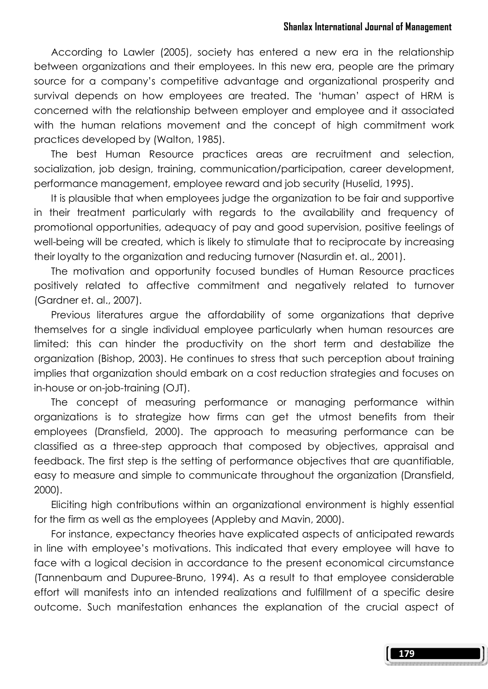#### Shanlax International Journal of Management

 According to Lawler (2005), society has entered a new era in the relationship between organizations and their employees. In this new era, people are the primary source for a company's competitive advantage and organizational prosperity and survival depends on how employees are treated. The 'human' aspect of HRM is concerned with the relationship between employer and employee and it associated with the human relations movement and the concept of high commitment work practices developed by (Walton, 1985).

 The best Human Resource practices areas are recruitment and selection, socialization, job design, training, communication/participation, career development, performance management, employee reward and job security (Huselid, 1995).

 It is plausible that when employees judge the organization to be fair and supportive in their treatment particularly with regards to the availability and frequency of promotional opportunities, adequacy of pay and good supervision, positive feelings of well-being will be created, which is likely to stimulate that to reciprocate by increasing their loyalty to the organization and reducing turnover (Nasurdin et. al., 2001).

 The motivation and opportunity focused bundles of Human Resource practices positively related to affective commitment and negatively related to turnover (Gardner et. al., 2007).

 Previous literatures argue the affordability of some organizations that deprive themselves for a single individual employee particularly when human resources are limited: this can hinder the productivity on the short term and destabilize the organization (Bishop, 2003). He continues to stress that such perception about training implies that organization should embark on a cost reduction strategies and focuses on in-house or on-job-training (OJT).

 The concept of measuring performance or managing performance within organizations is to strategize how firms can get the utmost benefits from their employees (Dransfield, 2000). The approach to measuring performance can be classified as a three-step approach that composed by objectives, appraisal and feedback. The first step is the setting of performance objectives that are quantifiable, easy to measure and simple to communicate throughout the organization (Dransfield, 2000).

 Eliciting high contributions within an organizational environment is highly essential for the firm as well as the employees (Appleby and Mavin, 2000).

 For instance, expectancy theories have explicated aspects of anticipated rewards in line with employee's motivations. This indicated that every employee will have to face with a logical decision in accordance to the present economical circumstance (Tannenbaum and Dupuree-Bruno, 1994). As a result to that employee considerable effort will manifests into an intended realizations and fulfillment of a specific desire outcome. Such manifestation enhances the explanation of the crucial aspect of